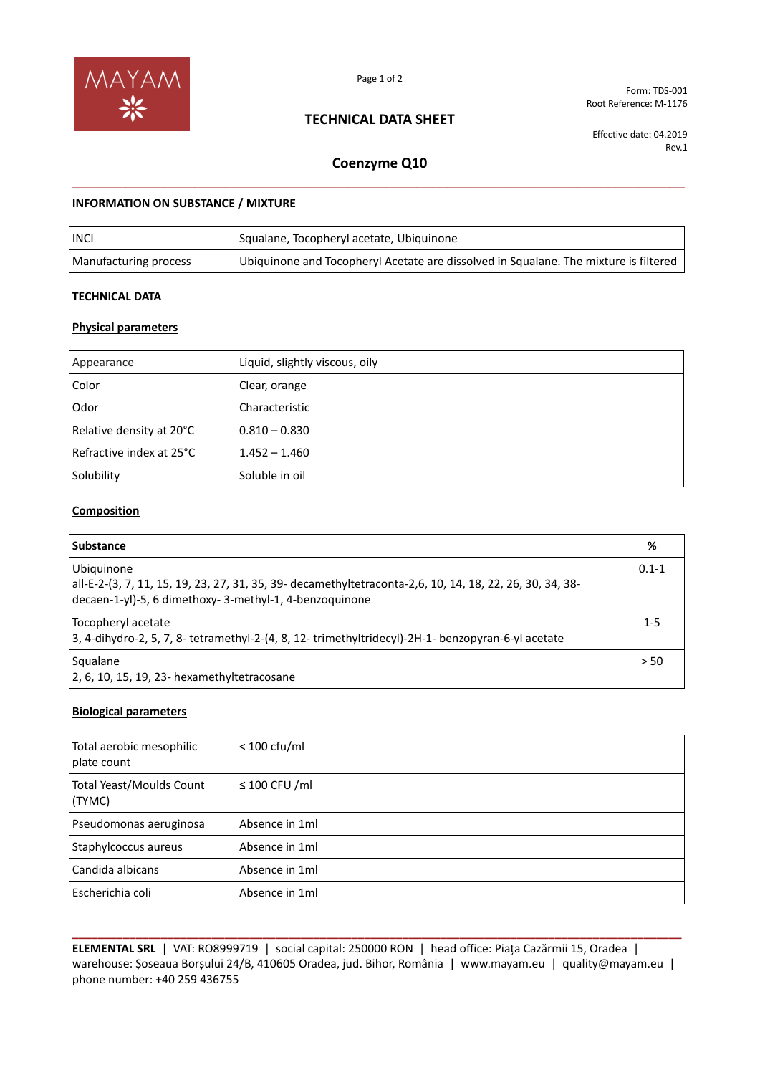

Page 1 of 2

# **TECHNICAL DATA SHEET**

Form: TDS-001 Root Reference: M-1176

Effective date: 04.2019 Rev.1

# **Coenzyme Q10 \_\_\_\_\_\_\_\_\_\_\_\_\_\_\_\_\_\_\_\_\_\_\_\_\_\_\_\_\_\_\_\_\_\_\_\_\_\_\_\_\_\_\_\_\_\_\_\_\_\_\_\_\_\_\_\_\_\_\_\_\_\_\_\_\_\_\_\_\_\_\_\_\_\_\_\_\_\_\_\_**

## **INFORMATION ON SUBSTANCE / MIXTURE**

| <b>INCI</b>           | Squalane, Tocopheryl acetate, Ubiquinone                                             |
|-----------------------|--------------------------------------------------------------------------------------|
| Manufacturing process | Ubiquinone and Tocopheryl Acetate are dissolved in Squalane. The mixture is filtered |

### **TECHNICAL DATA**

## **Physical parameters**

| Appearance                 | Liquid, slightly viscous, oily |
|----------------------------|--------------------------------|
| Color                      | Clear, orange                  |
| Odor                       | Characteristic                 |
| Relative density at 20°C   | $0.810 - 0.830$                |
| l Refractive index at 25°C | $1.452 - 1.460$                |
| Solubility                 | Soluble in oil                 |

## **Composition**

| <b>Substance</b>                                                                                                                                                                  | %    |
|-----------------------------------------------------------------------------------------------------------------------------------------------------------------------------------|------|
| Ubiquinone<br>all-E-2-(3, 7, 11, 15, 19, 23, 27, 31, 35, 39- decamethyltetraconta-2,6, 10, 14, 18, 22, 26, 30, 34, 38-<br>decaen-1-yl)-5, 6 dimethoxy- 3-methyl-1, 4-benzoquinone |      |
| Tocopheryl acetate<br>3, 4-dihydro-2, 5, 7, 8- tetramethyl-2-(4, 8, 12- trimethyltridecyl)-2H-1- benzopyran-6-yl acetate                                                          |      |
| Squalane<br>$\vert$ 2, 6, 10, 15, 19, 23- hexamethyltetracosane                                                                                                                   | > 50 |

#### **Biological parameters**

| Total aerobic mesophilic<br>plate count | $< 100 \text{ c}$ fu/ml |
|-----------------------------------------|-------------------------|
| Total Yeast/Moulds Count<br>(TYMC)      | $\leq$ 100 CFU /ml      |
| Pseudomonas aeruginosa                  | Absence in 1ml          |
| Staphylcoccus aureus                    | Absence in 1ml          |
| Candida albicans                        | Absence in 1ml          |
| Escherichia coli                        | Absence in 1ml          |

**\_\_\_\_\_\_\_\_\_\_\_\_\_\_\_\_\_\_\_\_\_\_\_\_\_\_\_\_\_\_\_\_\_\_\_\_\_\_\_\_\_\_\_\_\_\_\_\_\_\_\_\_\_\_\_\_\_\_\_\_\_\_\_\_\_\_\_\_\_\_\_\_\_\_\_\_\_\_\_\_\_\_\_\_\_\_\_\_\_\_\_\_\_\_\_\_ ELEMENTAL SRL** | VAT: RO8999719 | social capital: 250000 RON | head office: Piața Cazărmii 15, Oradea | warehouse: Șoseaua Borșului 24/B, 410605 Oradea, jud. Bihor, România | www.mayam.eu | quality@mayam.eu | phone number: +40 259 436755